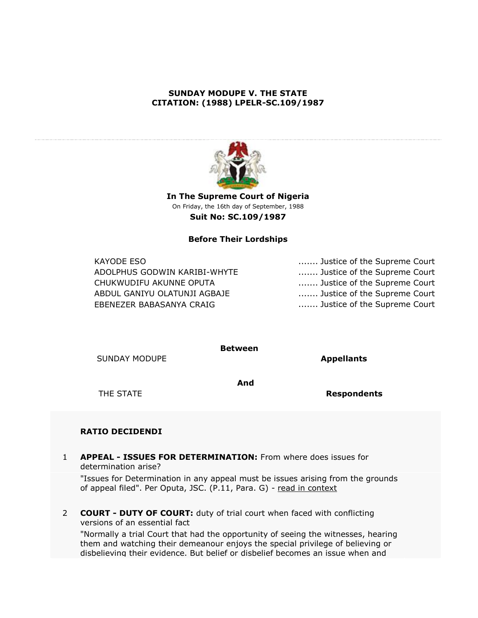# **SUNDAY MODUPE V. THE STATE CITATION: (1988) LPELR-SC.109/1987**



**In The Supreme Court of Nigeria** On Friday, the 16th day of September, 1988 **Suit No: SC.109/1987**

## **Before Their Lordships**

ADOLPHUS GODWIN KARIBI-WHYTE ........ Justice of the Supreme Court CHUKWUDIFU AKUNNE OPUTA ....... Justice of the Supreme Court ABDUL GANIYU OLATUNJI AGBAJE ....... Justice of the Supreme Court EBENEZER BABASANYA CRAIG **........** Justice of the Supreme Court

KAYODE ESO ....... Justice of the Supreme Court

**Between**

SUNDAY MODUPE **Appellants** 

**And**

THE STATE **Respondents**

## **RATIO DECIDENDI**

1 **APPEAL - ISSUES FOR DETERMINATION:** From where does issues for determination arise?

"Issues for Determination in any appeal must be issues arising from the grounds of appeal filed". Per Oputa, JSC. (P.11, Para. G) - [read in context](http://www.lawpavilionpersonal.com/newfulllawreport.jsp?suite=olabisi@9thfloor&pk=SC.109/1987&apk=13030#13030)

2 **COURT - DUTY OF COURT:** duty of trial court when faced with conflicting versions of an essential fact

"Normally a trial Court that had the opportunity of seeing the witnesses, hearing them and watching their demeanour enjoys the special privilege of believing or disbelieving their evidence. But belief or disbelief becomes an issue when and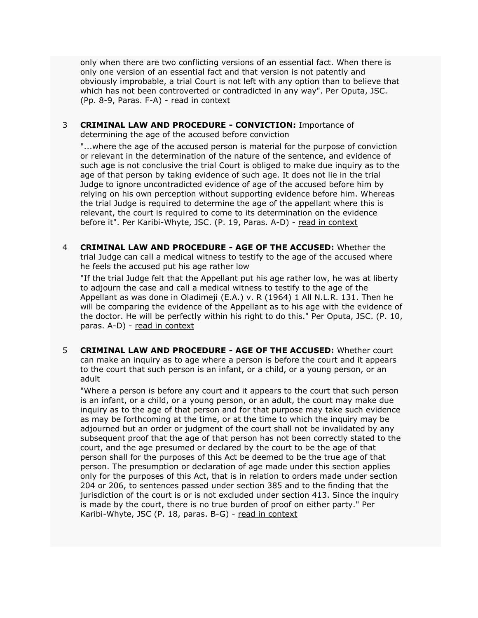only when there are two conflicting versions of an essential fact. When there is only one version of an essential fact and that version is not patently and obviously improbable, a trial Court is not left with any option than to believe that which has not been controverted or contradicted in any way". Per Oputa, JSC. (Pp. 8-9, Paras. F-A) - [read in context](http://www.lawpavilionpersonal.com/newfulllawreport.jsp?suite=olabisi@9thfloor&pk=SC.109/1987&apk=13029#13029)

3 **CRIMINAL LAW AND PROCEDURE - CONVICTION:** Importance of determining the age of the accused before conviction

"...where the age of the accused person is material for the purpose of conviction or relevant in the determination of the nature of the sentence, and evidence of such age is not conclusive the trial Court is obliged to make due inquiry as to the age of that person by taking evidence of such age. It does not lie in the trial Judge to ignore uncontradicted evidence of age of the accused before him by relying on his own perception without supporting evidence before him. Whereas the trial Judge is required to determine the age of the appellant where this is relevant, the court is required to come to its determination on the evidence before it". Per Karibi-Whyte, JSC. (P. 19, Paras. A-D) - [read in context](http://www.lawpavilionpersonal.com/newfulllawreport.jsp?suite=olabisi@9thfloor&pk=SC.109/1987&apk=13031#13031)

4 **CRIMINAL LAW AND PROCEDURE - AGE OF THE ACCUSED:** Whether the trial Judge can call a medical witness to testify to the age of the accused where he feels the accused put his age rather low

"If the trial Judge felt that the Appellant put his age rather low, he was at liberty to adjourn the case and call a medical witness to testify to the age of the Appellant as was done in Oladimeji (E.A.) v. R (1964) 1 All N.L.R. 131. Then he will be comparing the evidence of the Appellant as to his age with the evidence of the doctor. He will be perfectly within his right to do this." Per Oputa, JSC. (P. 10, paras. A-D) - [read in context](http://www.lawpavilionpersonal.com/newfulllawreport.jsp?suite=olabisi@9thfloor&pk=SC.109/1987&apk=15316#15316)

5 **CRIMINAL LAW AND PROCEDURE - AGE OF THE ACCUSED:** Whether court can make an inquiry as to age where a person is before the court and it appears to the court that such person is an infant, or a child, or a young person, or an adult

"Where a person is before any court and it appears to the court that such person is an infant, or a child, or a young person, or an adult, the court may make due inquiry as to the age of that person and for that purpose may take such evidence as may be forthcoming at the time, or at the time to which the inquiry may be adjourned but an order or judgment of the court shall not be invalidated by any subsequent proof that the age of that person has not been correctly stated to the court, and the age presumed or declared by the court to be the age of that person shall for the purposes of this Act be deemed to be the true age of that person. The presumption or declaration of age made under this section applies only for the purposes of this Act, that is in relation to orders made under section 204 or 206, to sentences passed under section 385 and to the finding that the jurisdiction of the court is or is not excluded under section 413. Since the inquiry is made by the court, there is no true burden of proof on either party." Per Karibi-Whyte, JSC (P. 18, paras. B-G) - [read in context](http://www.lawpavilionpersonal.com/newfulllawreport.jsp?suite=olabisi@9thfloor&pk=SC.109/1987&apk=15317#15317)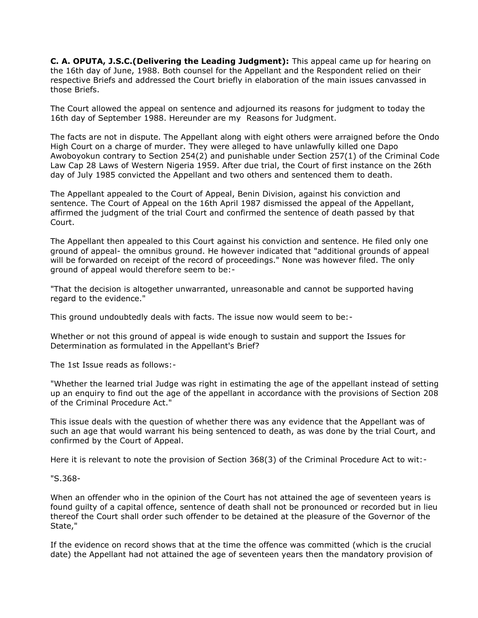**C. A. OPUTA, J.S.C.(Delivering the Leading Judgment):** This appeal came up for hearing on the 16th day of June, 1988. Both counsel for the Appellant and the Respondent relied on their respective Briefs and addressed the Court briefly in elaboration of the main issues canvassed in those Briefs.

The Court allowed the appeal on sentence and adjourned its reasons for judgment to today the 16th day of September 1988. Hereunder are my Reasons for Judgment.

The facts are not in dispute. The Appellant along with eight others were arraigned before the Ondo High Court on a charge of murder. They were alleged to have unlawfully killed one Dapo Awoboyokun contrary to Section 254(2) and punishable under Section 257(1) of the Criminal Code Law Cap 28 Laws of Western Nigeria 1959. After due trial, the Court of first instance on the 26th day of July 1985 convicted the Appellant and two others and sentenced them to death.

The Appellant appealed to the Court of Appeal, Benin Division, against his conviction and sentence. The Court of Appeal on the 16th April 1987 dismissed the appeal of the Appellant, affirmed the judgment of the trial Court and confirmed the sentence of death passed by that Court.

The Appellant then appealed to this Court against his conviction and sentence. He filed only one ground of appeal- the omnibus ground. He however indicated that "additional grounds of appeal will be forwarded on receipt of the record of proceedings." None was however filed. The only ground of appeal would therefore seem to be:-

"That the decision is altogether unwarranted, unreasonable and cannot be supported having regard to the evidence."

This ground undoubtedly deals with facts. The issue now would seem to be:-

Whether or not this ground of appeal is wide enough to sustain and support the Issues for Determination as formulated in the Appellant's Brief?

The 1st Issue reads as follows:-

"Whether the learned trial Judge was right in estimating the age of the appellant instead of setting up an enquiry to find out the age of the appellant in accordance with the provisions of Section 208 of the Criminal Procedure Act."

This issue deals with the question of whether there was any evidence that the Appellant was of such an age that would warrant his being sentenced to death, as was done by the trial Court, and confirmed by the Court of Appeal.

Here it is relevant to note the provision of Section 368(3) of the Criminal Procedure Act to wit:-

"S.368-

When an offender who in the opinion of the Court has not attained the age of seventeen years is found guilty of a capital offence, sentence of death shall not be pronounced or recorded but in lieu thereof the Court shall order such offender to be detained at the pleasure of the Governor of the State,"

If the evidence on record shows that at the time the offence was committed (which is the crucial date) the Appellant had not attained the age of seventeen years then the mandatory provision of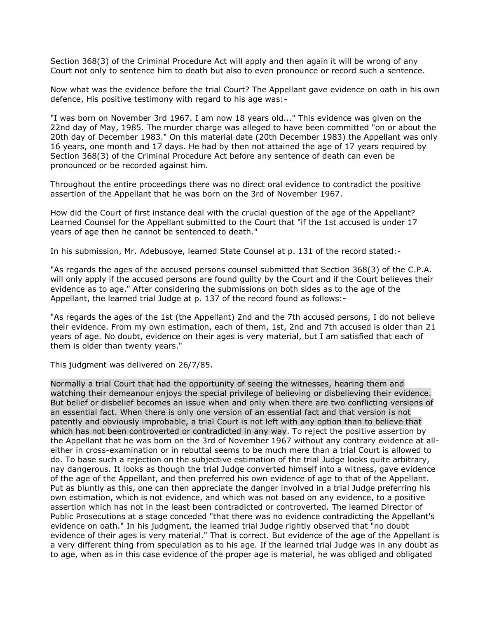Section 368(3) of the Criminal Procedure Act will apply and then again it will be wrong of any Court not only to sentence him to death but also to even pronounce or record such a sentence.

Now what was the evidence before the trial Court? The Appellant gave evidence on oath in his own defence, His positive testimony with regard to his age was:-

"I was born on November 3rd 1967. I am now 18 years old..." This evidence was given on the 22nd day of May, 1985. The murder charge was alleged to have been committed "on or about the 20th day of December 1983." On this material date (20th December 1983) the Appellant was only 16 years, one month and 17 days. He had by then not attained the age of 17 years required by Section 368(3) of the Criminal Procedure Act before any sentence of death can even be pronounced or be recorded against him.

Throughout the entire proceedings there was no direct oral evidence to contradict the positive assertion of the Appellant that he was born on the 3rd of November 1967.

How did the Court of first instance deal with the crucial question of the age of the Appellant? Learned Counsel for the Appellant submitted to the Court that "if the 1st accused is under 17 years of age then he cannot be sentenced to death."

In his submission, Mr. Adebusoye, learned State Counsel at p. 131 of the record stated:-

"As regards the ages of the accused persons counsel submitted that Section 368(3) of the C.P.A. will only apply if the accused persons are found guilty by the Court and if the Court believes their evidence as to age." After considering the submissions on both sides as to the age of the Appellant, the learned trial Judge at p. 137 of the record found as follows:-

"As regards the ages of the 1st (the Appellant) 2nd and the 7th accused persons, I do not believe their evidence. From my own estimation, each of them, 1st, 2nd and 7th accused is older than 21 years of age. No doubt, evidence on their ages is very material, but I am satisfied that each of them is older than twenty years."

This judgment was delivered on 26/7/85.

Normally a trial Court that had the opportunity of seeing the witnesses, hearing them and watching their demeanour enjoys the special privilege of believing or disbelieving their evidence. But belief or disbelief becomes an issue when and only when there are two conflicting versions of an essential fact. When there is only one version of an essential fact and that version is not patently and obviously improbable, a trial Court is not left with any option than to believe that which has not been controverted or contradicted in any way. To reject the positive assertion by the Appellant that he was born on the 3rd of November 1967 without any contrary evidence at alleither in cross-examination or in rebuttal seems to be much mere than a trial Court is allowed to do. To base such a rejection on the subjective estimation of the trial Judge looks quite arbitrary, nay dangerous. It looks as though the trial Judge converted himself into a witness, gave evidence of the age of the Appellant, and then preferred his own evidence of age to that of the Appellant. Put as bluntly as this, one can then appreciate the danger involved in a trial Judge preferring his own estimation, which is not evidence, and which was not based on any evidence, to a positive assertion which has not in the least been contradicted or controverted. The learned Director of Public Prosecutions at a stage conceded "that there was no evidence contradicting the Appellant's evidence on oath." In his judgment, the learned trial Judge rightly observed that "no doubt evidence of their ages is very material." That is correct. But evidence of the age of the Appellant is a very different thing from speculation as to his age. If the learned trial Judge was in any doubt as to age, when as in this case evidence of the proper age is material, he was obliged and obligated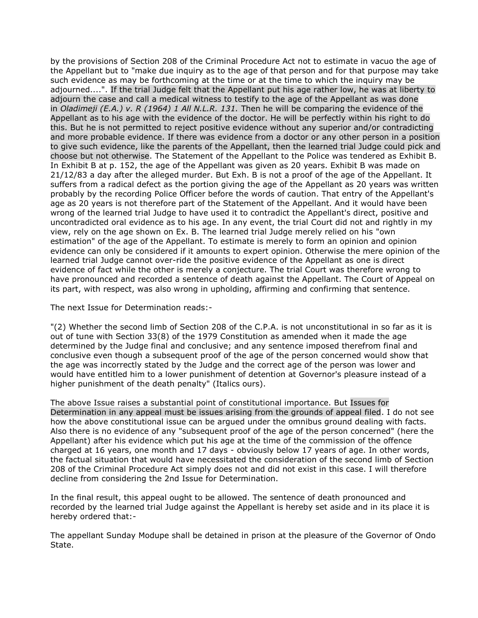by the provisions of Section 208 of the Criminal Procedure Act not to estimate in vacuo the age of the Appellant but to "make due inquiry as to the age of that person and for that purpose may take such evidence as may be forthcoming at the time or at the time to which the inquiry may be adjourned....". If the trial Judge felt that the Appellant put his age rather low, he was at liberty to adjourn the case and call a medical witness to testify to the age of the Appellant as was done in *Oladimeji (E.A.) v. R (1964) 1 All N.L.R. 131.* Then he will be comparing the evidence of the Appellant as to his age with the evidence of the doctor. He will be perfectly within his right to do this. But he is not permitted to reject positive evidence without any superior and/or contradicting and more probable evidence. If there was evidence from a doctor or any other person in a position to give such evidence, like the parents of the Appellant, then the learned trial Judge could pick and choose but not otherwise. The Statement of the Appellant to the Police was tendered as Exhibit B. In Exhibit B at p. 152, the age of the Appellant was given as 20 years. Exhibit B was made on 21/12/83 a day after the alleged murder. But Exh. B is not a proof of the age of the Appellant. It suffers from a radical defect as the portion giving the age of the Appellant as 20 years was written probably by the recording Police Officer before the words of caution. That entry of the Appellant's age as 20 years is not therefore part of the Statement of the Appellant. And it would have been wrong of the learned trial Judge to have used it to contradict the Appellant's direct, positive and uncontradicted oral evidence as to his age. In any event, the trial Court did not and rightly in my view, rely on the age shown on Ex. B. The learned trial Judge merely relied on his "own estimation" of the age of the Appellant. To estimate is merely to form an opinion and opinion evidence can only be considered if it amounts to expert opinion. Otherwise the mere opinion of the learned trial Judge cannot over-ride the positive evidence of the Appellant as one is direct evidence of fact while the other is merely a conjecture. The trial Court was therefore wrong to have pronounced and recorded a sentence of death against the Appellant. The Court of Appeal on its part, with respect, was also wrong in upholding, affirming and confirming that sentence.

The next Issue for Determination reads:-

"(2) Whether the second limb of Section 208 of the C.P.A. is not unconstitutional in so far as it is out of tune with Section 33(8) of the 1979 Constitution as amended when it made the age determined by the Judge final and conclusive; and any sentence imposed therefrom final and conclusive even though a subsequent proof of the age of the person concerned would show that the age was incorrectly stated by the Judge and the correct age of the person was lower and would have entitled him to a lower punishment of detention at Governor's pleasure instead of a higher punishment of the death penalty" (Italics ours).

The above Issue raises a substantial point of constitutional importance. But Issues for Determination in any appeal must be issues arising from the grounds of appeal filed. I do not see how the above constitutional issue can be argued under the omnibus ground dealing with facts. Also there is no evidence of any "subsequent proof of the age of the person concerned" (here the Appellant) after his evidence which put his age at the time of the commission of the offence charged at 16 years, one month and 17 days - obviously below 17 years of age. In other words, the factual situation that would have necessitated the consideration of the second limb of Section 208 of the Criminal Procedure Act simply does not and did not exist in this case. I will therefore decline from considering the 2nd Issue for Determination.

In the final result, this appeal ought to be allowed. The sentence of death pronounced and recorded by the learned trial Judge against the Appellant is hereby set aside and in its place it is hereby ordered that:-

The appellant Sunday Modupe shall be detained in prison at the pleasure of the Governor of Ondo State.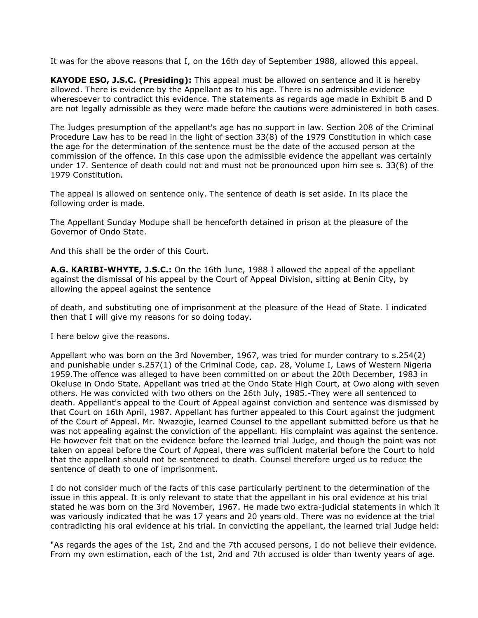It was for the above reasons that I, on the 16th day of September 1988, allowed this appeal.

**KAYODE ESO, J.S.C. (Presiding):** This appeal must be allowed on sentence and it is hereby allowed. There is evidence by the Appellant as to his age. There is no admissible evidence wheresoever to contradict this evidence. The statements as regards age made in Exhibit B and D are not legally admissible as they were made before the cautions were administered in both cases.

The Judges presumption of the appellant's age has no support in law. Section 208 of the Criminal Procedure Law has to be read in the light of section 33(8) of the 1979 Constitution in which case the age for the determination of the sentence must be the date of the accused person at the commission of the offence. In this case upon the admissible evidence the appellant was certainly under 17. Sentence of death could not and must not be pronounced upon him see s. 33(8) of the 1979 Constitution.

The appeal is allowed on sentence only. The sentence of death is set aside. In its place the following order is made.

The Appellant Sunday Modupe shall be henceforth detained in prison at the pleasure of the Governor of Ondo State.

And this shall be the order of this Court.

**A.G. KARIBI-WHYTE, J.S.C.:** On the 16th June, 1988 I allowed the appeal of the appellant against the dismissal of his appeal by the Court of Appeal Division, sitting at Benin City, by allowing the appeal against the sentence

of death, and substituting one of imprisonment at the pleasure of the Head of State. I indicated then that I will give my reasons for so doing today.

I here below give the reasons.

Appellant who was born on the 3rd November, 1967, was tried for murder contrary to s.254(2) and punishable under s.257(1) of the Criminal Code, cap. 28, Volume I, Laws of Western Nigeria 1959.The offence was alleged to have been committed on or about the 20th December, 1983 in Okeluse in Ondo State. Appellant was tried at the Ondo State High Court, at Owo along with seven others. He was convicted with two others on the 26th July, 1985.-They were all sentenced to death. Appellant's appeal to the Court of Appeal against conviction and sentence was dismissed by that Court on 16th April, 1987. Appellant has further appealed to this Court against the judgment of the Court of Appeal. Mr. Nwazojie, learned Counsel to the appellant submitted before us that he was not appealing against the conviction of the appellant. His complaint was against the sentence. He however felt that on the evidence before the learned trial Judge, and though the point was not taken on appeal before the Court of Appeal, there was sufficient material before the Court to hold that the appellant should not be sentenced to death. Counsel therefore urged us to reduce the sentence of death to one of imprisonment.

I do not consider much of the facts of this case particularly pertinent to the determination of the issue in this appeal. It is only relevant to state that the appellant in his oral evidence at his trial stated he was born on the 3rd November, 1967. He made two extra-judicial statements in which it was variously indicated that he was 17 years and 20 years old. There was no evidence at the trial contradicting his oral evidence at his trial. In convicting the appellant, the learned trial Judge held:

"As regards the ages of the 1st, 2nd and the 7th accused persons, I do not believe their evidence. From my own estimation, each of the 1st, 2nd and 7th accused is older than twenty years of age.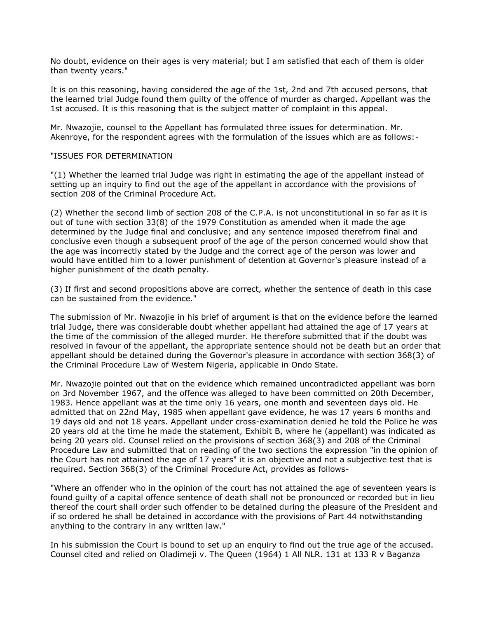No doubt, evidence on their ages is very material; but I am satisfied that each of them is older than twenty years."

It is on this reasoning, having considered the age of the 1st, 2nd and 7th accused persons, that the learned trial Judge found them guilty of the offence of murder as charged. Appellant was the 1st accused. It is this reasoning that is the subject matter of complaint in this appeal.

Mr. Nwazojie, counsel to the Appellant has formulated three issues for determination. Mr. Akenroye, for the respondent agrees with the formulation of the issues which are as follows:-

### "ISSUES FOR DETERMINATION

"(1) Whether the learned trial Judge was right in estimating the age of the appellant instead of setting up an inquiry to find out the age of the appellant in accordance with the provisions of section 208 of the Criminal Procedure Act.

(2) Whether the second limb of section 208 of the C.P.A. is not unconstitutional in so far as it is out of tune with section 33(8) of the 1979 Constitution as amended when it made the age determined by the Judge final and conclusive; and any sentence imposed therefrom final and conclusive even though a subsequent proof of the age of the person concerned would show that the age was incorrectly stated by the Judge and the correct age of the person was lower and would have entitled him to a lower punishment of detention at Governor's pleasure instead of a higher punishment of the death penalty.

(3) If first and second propositions above are correct, whether the sentence of death in this case can be sustained from the evidence."

The submission of Mr. Nwazojie in his brief of argument is that on the evidence before the learned trial Judge, there was considerable doubt whether appellant had attained the age of 17 years at the time of the commission of the alleged murder. He therefore submitted that if the doubt was resolved in favour of the appellant, the appropriate sentence should not be death but an order that appellant should be detained during the Governor's pleasure in accordance with section 368(3) of the Criminal Procedure Law of Western Nigeria, applicable in Ondo State.

Mr. Nwazojie pointed out that on the evidence which remained uncontradicted appellant was born on 3rd November 1967, and the offence was alleged to have been committed on 20th December, 1983. Hence appellant was at the time only 16 years, one month and seventeen days old. He admitted that on 22nd May, 1985 when appellant gave evidence, he was 17 years 6 months and 19 days old and not 18 years. Appellant under cross-examination denied he told the Police he was 20 years old at the time he made the statement, Exhibit B, where he (appellant) was indicated as being 20 years old. Counsel relied on the provisions of section 368(3) and 208 of the Criminal Procedure Law and submitted that on reading of the two sections the expression "in the opinion of the Court has not attained the age of 17 years" it is an objective and not a subjective test that is required. Section 368(3) of the Criminal Procedure Act, provides as follows-

"Where an offender who in the opinion of the court has not attained the age of seventeen years is found guilty of a capital offence sentence of death shall not be pronounced or recorded but in lieu thereof the court shall order such offender to be detained during the pleasure of the President and if so ordered he shall be detained in accordance with the provisions of Part 44 notwithstanding anything to the contrary in any written law."

In his submission the Court is bound to set up an enquiry to find out the true age of the accused. Counsel cited and relied on Oladimeji v. The Queen (1964) 1 All NLR. 131 at 133 R v Baganza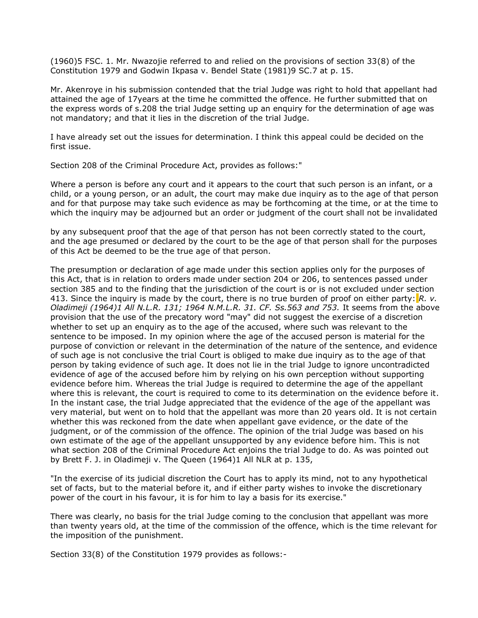(1960)5 FSC. 1. Mr. Nwazojie referred to and relied on the provisions of section 33(8) of the Constitution 1979 and Godwin Ikpasa v. Bendel State (1981)9 SC.7 at p. 15.

Mr. Akenroye in his submission contended that the trial Judge was right to hold that appellant had attained the age of 17years at the time he committed the offence. He further submitted that on the express words of s.208 the trial Judge setting up an enquiry for the determination of age was not mandatory; and that it lies in the discretion of the trial Judge.

I have already set out the issues for determination. I think this appeal could be decided on the first issue.

Section 208 of the Criminal Procedure Act, provides as follows:"

Where a person is before any court and it appears to the court that such person is an infant, or a child, or a young person, or an adult, the court may make due inquiry as to the age of that person and for that purpose may take such evidence as may be forthcoming at the time, or at the time to which the inquiry may be adjourned but an order or judgment of the court shall not be invalidated

by any subsequent proof that the age of that person has not been correctly stated to the court, and the age presumed or declared by the court to be the age of that person shall for the purposes of this Act be deemed to be the true age of that person.

The presumption or declaration of age made under this section applies only for the purposes of this Act, that is in relation to orders made under section 204 or 206, to sentences passed under section 385 and to the finding that the jurisdiction of the court is or is not excluded under section 413. Since the inquiry is made by the court, there is no true burden of proof on either party: *R. v. Oladimeji (1964)1 All N.L.R. 131; 1964 N.M.L.R. 31. CF. Ss.563 and 753.* It seems from the above provision that the use of the precatory word "may" did not suggest the exercise of a discretion whether to set up an enquiry as to the age of the accused, where such was relevant to the sentence to be imposed. In my opinion where the age of the accused person is material for the purpose of conviction or relevant in the determination of the nature of the sentence, and evidence of such age is not conclusive the trial Court is obliged to make due inquiry as to the age of that person by taking evidence of such age. It does not lie in the trial Judge to ignore uncontradicted evidence of age of the accused before him by relying on his own perception without supporting evidence before him. Whereas the trial Judge is required to determine the age of the appellant where this is relevant, the court is required to come to its determination on the evidence before it. In the instant case, the trial Judge appreciated that the evidence of the age of the appellant was very material, but went on to hold that the appellant was more than 20 years old. It is not certain whether this was reckoned from the date when appellant gave evidence, or the date of the judgment, or of the commission of the offence. The opinion of the trial Judge was based on his own estimate of the age of the appellant unsupported by any evidence before him. This is not what section 208 of the Criminal Procedure Act enjoins the trial Judge to do. As was pointed out by Brett F. J. in Oladimeji v. The Queen (1964)1 All NLR at p. 135,

"In the exercise of its judicial discretion the Court has to apply its mind, not to any hypothetical set of facts, but to the material before it, and if either party wishes to invoke the discretionary power of the court in his favour, it is for him to lay a basis for its exercise."

There was clearly, no basis for the trial Judge coming to the conclusion that appellant was more than twenty years old, at the time of the commission of the offence, which is the time relevant for the imposition of the punishment.

Section 33(8) of the Constitution 1979 provides as follows:-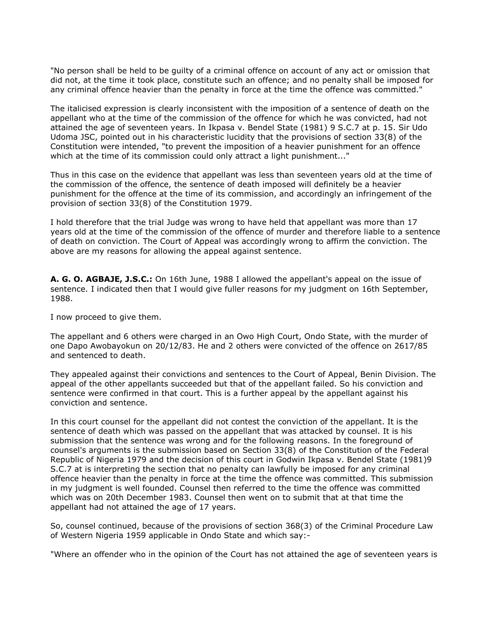"No person shall be held to be guilty of a criminal offence on account of any act or omission that did not, at the time it took place, constitute such an offence; and no penalty shall be imposed for any criminal offence heavier than the penalty in force at the time the offence was committed."

The italicised expression is clearly inconsistent with the imposition of a sentence of death on the appellant who at the time of the commission of the offence for which he was convicted, had not attained the age of seventeen years. In Ikpasa v. Bendel State (1981) 9 S.C.7 at p. 15. Sir Udo Udoma JSC, pointed out in his characteristic lucidity that the provisions of section 33(8) of the Constitution were intended, "to prevent the imposition of a heavier punishment for an offence which at the time of its commission could only attract a light punishment..."

Thus in this case on the evidence that appellant was less than seventeen years old at the time of the commission of the offence, the sentence of death imposed will definitely be a heavier punishment for the offence at the time of its commission, and accordingly an infringement of the provision of section 33(8) of the Constitution 1979.

I hold therefore that the trial Judge was wrong to have held that appellant was more than 17 years old at the time of the commission of the offence of murder and therefore liable to a sentence of death on conviction. The Court of Appeal was accordingly wrong to affirm the conviction. The above are my reasons for allowing the appeal against sentence.

**A. G. O. AGBAJE, J.S.C.:** On 16th June, 1988 I allowed the appellant's appeal on the issue of sentence. I indicated then that I would give fuller reasons for my judgment on 16th September, 1988.

I now proceed to give them.

The appellant and 6 others were charged in an Owo High Court, Ondo State, with the murder of one Dapo Awobayokun on 20/12/83. He and 2 others were convicted of the offence on 2617/85 and sentenced to death.

They appealed against their convictions and sentences to the Court of Appeal, Benin Division. The appeal of the other appellants succeeded but that of the appellant failed. So his conviction and sentence were confirmed in that court. This is a further appeal by the appellant against his conviction and sentence.

In this court counsel for the appellant did not contest the conviction of the appellant. It is the sentence of death which was passed on the appellant that was attacked by counsel. It is his submission that the sentence was wrong and for the following reasons. In the foreground of counsel's arguments is the submission based on Section 33(8) of the Constitution of the Federal Republic of Nigeria 1979 and the decision of this court in Godwin Ikpasa v. Bendel State (1981)9 S.C.7 at is interpreting the section that no penalty can lawfully be imposed for any criminal offence heavier than the penalty in force at the time the offence was committed. This submission in my judgment is well founded. Counsel then referred to the time the offence was committed which was on 20th December 1983. Counsel then went on to submit that at that time the appellant had not attained the age of 17 years.

So, counsel continued, because of the provisions of section 368(3) of the Criminal Procedure Law of Western Nigeria 1959 applicable in Ondo State and which say:-

"Where an offender who in the opinion of the Court has not attained the age of seventeen years is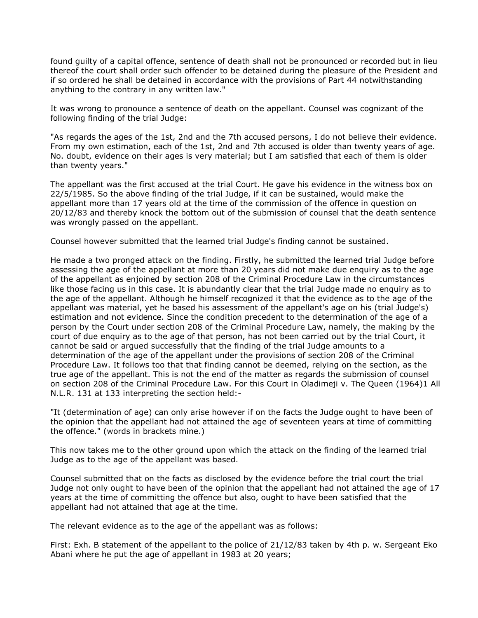found guilty of a capital offence, sentence of death shall not be pronounced or recorded but in lieu thereof the court shall order such offender to be detained during the pleasure of the President and if so ordered he shall be detained in accordance with the provisions of Part 44 notwithstanding anything to the contrary in any written law."

It was wrong to pronounce a sentence of death on the appellant. Counsel was cognizant of the following finding of the trial Judge:

"As regards the ages of the 1st, 2nd and the 7th accused persons, I do not believe their evidence. From my own estimation, each of the 1st, 2nd and 7th accused is older than twenty years of age. No. doubt, evidence on their ages is very material; but I am satisfied that each of them is older than twenty years."

The appellant was the first accused at the trial Court. He gave his evidence in the witness box on 22/5/1985. So the above finding of the trial Judge, if it can be sustained, would make the appellant more than 17 years old at the time of the commission of the offence in question on 20/12/83 and thereby knock the bottom out of the submission of counsel that the death sentence was wrongly passed on the appellant.

Counsel however submitted that the learned trial Judge's finding cannot be sustained.

He made a two pronged attack on the finding. Firstly, he submitted the learned trial Judge before assessing the age of the appellant at more than 20 years did not make due enquiry as to the age of the appellant as enjoined by section 208 of the Criminal Procedure Law in the circumstances like those facing us in this case. It is abundantly clear that the trial Judge made no enquiry as to the age of the appellant. Although he himself recognized it that the evidence as to the age of the appellant was material, yet he based his assessment of the appellant's age on his (trial Judge's) estimation and not evidence. Since the condition precedent to the determination of the age of a person by the Court under section 208 of the Criminal Procedure Law, namely, the making by the court of due enquiry as to the age of that person, has not been carried out by the trial Court, it cannot be said or argued successfully that the finding of the trial Judge amounts to a determination of the age of the appellant under the provisions of section 208 of the Criminal Procedure Law. It follows too that that finding cannot be deemed, relying on the section, as the true age of the appellant. This is not the end of the matter as regards the submission of counsel on section 208 of the Criminal Procedure Law. For this Court in Oladimeji v. The Queen (1964)1 All N.L.R. 131 at 133 interpreting the section held:-

"It (determination of age) can only arise however if on the facts the Judge ought to have been of the opinion that the appellant had not attained the age of seventeen years at time of committing the offence." (words in brackets mine.)

This now takes me to the other ground upon which the attack on the finding of the learned trial Judge as to the age of the appellant was based.

Counsel submitted that on the facts as disclosed by the evidence before the trial court the trial Judge not only ought to have been of the opinion that the appellant had not attained the age of 17 years at the time of committing the offence but also, ought to have been satisfied that the appellant had not attained that age at the time.

The relevant evidence as to the age of the appellant was as follows:

First: Exh. B statement of the appellant to the police of 21/12/83 taken by 4th p. w. Sergeant Eko Abani where he put the age of appellant in 1983 at 20 years;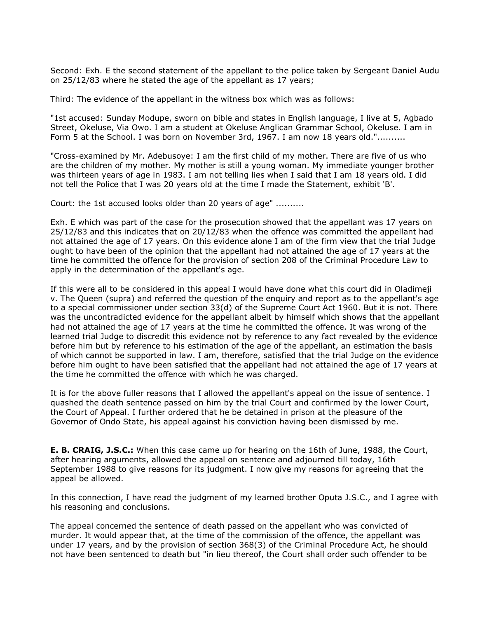Second: Exh. E the second statement of the appellant to the police taken by Sergeant Daniel Audu on 25/12/83 where he stated the age of the appellant as 17 years;

Third: The evidence of the appellant in the witness box which was as follows:

"1st accused: Sunday Modupe, sworn on bible and states in English language, I live at 5, Agbado Street, Okeluse, Via Owo. I am a student at Okeluse Anglican Grammar School, Okeluse. I am in Form 5 at the School. I was born on November 3rd, 1967. I am now 18 years old.".........

"Cross-examined by Mr. Adebusoye: I am the first child of my mother. There are five of us who are the children of my mother. My mother is still a young woman. My immediate younger brother was thirteen years of age in 1983. I am not telling lies when I said that I am 18 years old. I did not tell the Police that I was 20 years old at the time I made the Statement, exhibit 'B'.

Court: the 1st accused looks older than 20 years of age" ..........

Exh. E which was part of the case for the prosecution showed that the appellant was 17 years on 25/12/83 and this indicates that on 20/12/83 when the offence was committed the appellant had not attained the age of 17 years. On this evidence alone I am of the firm view that the trial Judge ought to have been of the opinion that the appellant had not attained the age of 17 years at the time he committed the offence for the provision of section 208 of the Criminal Procedure Law to apply in the determination of the appellant's age.

If this were all to be considered in this appeal I would have done what this court did in Oladimeji v. The Queen (supra) and referred the question of the enquiry and report as to the appellant's age to a special commissioner under section 33(d) of the Supreme Court Act 1960. But it is not. There was the uncontradicted evidence for the appellant albeit by himself which shows that the appellant had not attained the age of 17 years at the time he committed the offence. It was wrong of the learned trial Judge to discredit this evidence not by reference to any fact revealed by the evidence before him but by reference to his estimation of the age of the appellant, an estimation the basis of which cannot be supported in law. I am, therefore, satisfied that the trial Judge on the evidence before him ought to have been satisfied that the appellant had not attained the age of 17 years at the time he committed the offence with which he was charged.

It is for the above fuller reasons that I allowed the appellant's appeal on the issue of sentence. I quashed the death sentence passed on him by the trial Court and confirmed by the lower Court, the Court of Appeal. I further ordered that he be detained in prison at the pleasure of the Governor of Ondo State, his appeal against his conviction having been dismissed by me.

**E. B. CRAIG, J.S.C.:** When this case came up for hearing on the 16th of June, 1988, the Court, after hearing arguments, allowed the appeal on sentence and adjourned till today, 16th September 1988 to give reasons for its judgment. I now give my reasons for agreeing that the appeal be allowed.

In this connection, I have read the judgment of my learned brother Oputa J.S.C., and I agree with his reasoning and conclusions.

The appeal concerned the sentence of death passed on the appellant who was convicted of murder. It would appear that, at the time of the commission of the offence, the appellant was under 17 years, and by the provision of section 368(3) of the Criminal Procedure Act, he should not have been sentenced to death but "in lieu thereof, the Court shall order such offender to be